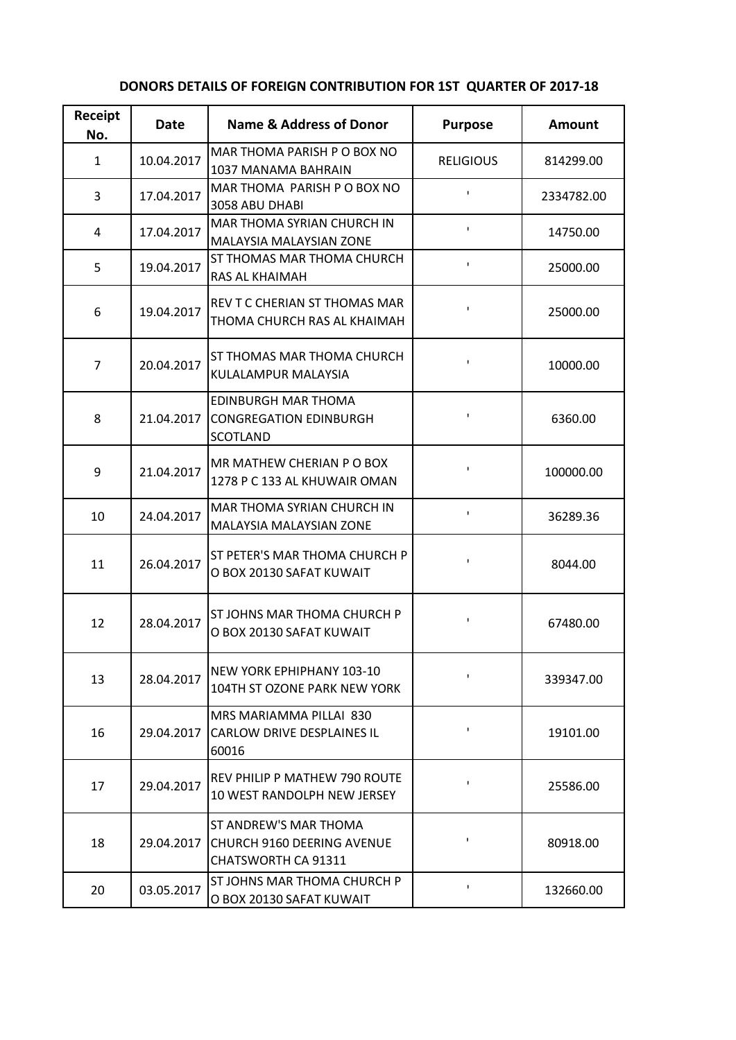| Receipt<br>No. | Date       | Name & Address of Donor                                                                  | <b>Purpose</b>   | Amount     |
|----------------|------------|------------------------------------------------------------------------------------------|------------------|------------|
| $\mathbf{1}$   | 10.04.2017 | MAR THOMA PARISH P O BOX NO<br>1037 MANAMA BAHRAIN                                       | <b>RELIGIOUS</b> | 814299.00  |
| 3              | 17.04.2017 | MAR THOMA PARISH P O BOX NO<br>3058 ABU DHABI                                            | $\mathbf{I}$     | 2334782.00 |
| 4              | 17.04.2017 | MAR THOMA SYRIAN CHURCH IN<br><b>MALAYSIA MALAYSIAN ZONE</b>                             | $\mathbf{I}$     | 14750.00   |
| 5              | 19.04.2017 | ST THOMAS MAR THOMA CHURCH<br>RAS AL KHAIMAH                                             | $\mathbf I$      | 25000.00   |
| 6              | 19.04.2017 | REV T C CHERIAN ST THOMAS MAR<br>THOMA CHURCH RAS AL KHAIMAH                             | I.               | 25000.00   |
| 7              | 20.04.2017 | ST THOMAS MAR THOMA CHURCH<br>KULALAMPUR MALAYSIA                                        | $\mathbf I$      | 10000.00   |
| 8              | 21.04.2017 | <b>EDINBURGH MAR THOMA</b><br><b>CONGREGATION EDINBURGH</b><br><b>SCOTLAND</b>           | 1                | 6360.00    |
| 9              | 21.04.2017 | MR MATHEW CHERIAN P O BOX<br>1278 P C 133 AL KHUWAIR OMAN                                | $\mathbf I$      | 100000.00  |
| 10             | 24.04.2017 | MAR THOMA SYRIAN CHURCH IN<br>MALAYSIA MALAYSIAN ZONE                                    | $\mathbf I$      | 36289.36   |
| 11             | 26.04.2017 | ST PETER'S MAR THOMA CHURCH P<br>O BOX 20130 SAFAT KUWAIT                                | 1                | 8044.00    |
| 12             | 28.04.2017 | <b>ST JOHNS MAR THOMA CHURCH P</b><br>O BOX 20130 SAFAT KUWAIT                           | I.               | 67480.00   |
| 13             | 28.04.2017 | NEW YORK EPHIPHANY 103-10<br>104TH ST OZONE PARK NEW YORK                                | 1                | 339347.00  |
| 16             | 29.04.2017 | MRS MARIAMMA PILLAI 830<br><b>CARLOW DRIVE DESPLAINES IL</b><br>60016                    | 1                | 19101.00   |
| 17             | 29.04.2017 | REV PHILIP P MATHEW 790 ROUTE<br><b>10 WEST RANDOLPH NEW JERSEY</b>                      | I.               | 25586.00   |
| 18             | 29.04.2017 | ST ANDREW'S MAR THOMA<br><b>CHURCH 9160 DEERING AVENUE</b><br><b>CHATSWORTH CA 91311</b> | 1                | 80918.00   |
| 20             | 03.05.2017 | ST JOHNS MAR THOMA CHURCH P<br>O BOX 20130 SAFAT KUWAIT                                  | I.               | 132660.00  |

## **DONORS DETAILS OF FOREIGN CONTRIBUTION FOR 1ST QUARTER OF 2017-18**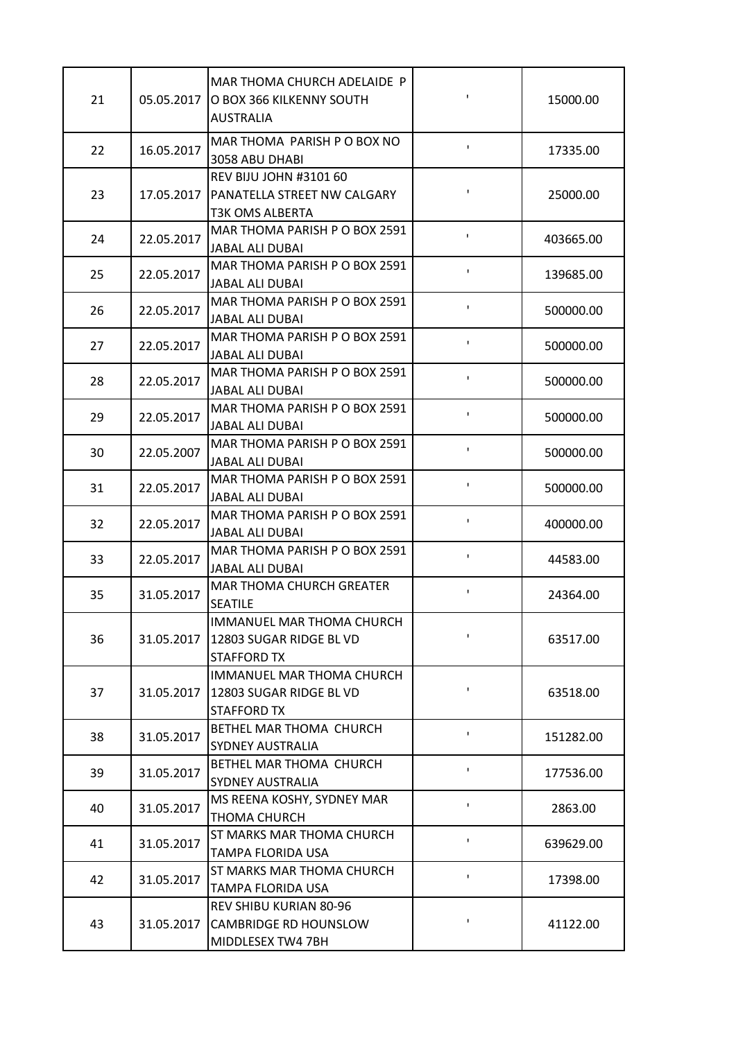| 21 | 05.05.2017 | MAR THOMA CHURCH ADELAIDE P<br>O BOX 366 KILKENNY SOUTH<br><b>AUSTRALIA</b>            | ı.             | 15000.00  |
|----|------------|----------------------------------------------------------------------------------------|----------------|-----------|
| 22 | 16.05.2017 | MAR THOMA PARISH P O BOX NO<br>3058 ABU DHABI                                          | I.             | 17335.00  |
| 23 | 17.05.2017 | <b>REV BIJU JOHN #3101 60</b><br>PANATELLA STREET NW CALGARY<br><b>T3K OMS ALBERTA</b> | ı.             | 25000.00  |
| 24 | 22.05.2017 | MAR THOMA PARISH P O BOX 2591<br><b>JABAL ALI DUBAI</b>                                | ı.             | 403665.00 |
| 25 | 22.05.2017 | MAR THOMA PARISH P O BOX 2591<br>JABAL ALI DUBAI                                       | I.             | 139685.00 |
| 26 | 22.05.2017 | MAR THOMA PARISH P O BOX 2591<br><b>JABAL ALI DUBAI</b>                                | I.             | 500000.00 |
| 27 | 22.05.2017 | MAR THOMA PARISH P O BOX 2591<br><b>JABAL ALI DUBAI</b>                                | I.             | 500000.00 |
| 28 | 22.05.2017 | MAR THOMA PARISH P O BOX 2591<br>JABAL ALI DUBAI                                       | ı.             | 500000.00 |
| 29 | 22.05.2017 | MAR THOMA PARISH P O BOX 2591<br><b>JABAL ALI DUBAI</b>                                | ı.             | 500000.00 |
| 30 | 22.05.2007 | MAR THOMA PARISH P O BOX 2591<br>JABAL ALI DUBAI                                       | I.             | 500000.00 |
| 31 | 22.05.2017 | MAR THOMA PARISH P O BOX 2591<br>JABAL ALI DUBAI                                       | I.             | 500000.00 |
| 32 | 22.05.2017 | MAR THOMA PARISH P O BOX 2591<br><b>JABAL ALI DUBAI</b>                                | I.             | 400000.00 |
| 33 | 22.05.2017 | MAR THOMA PARISH P O BOX 2591<br>JABAL ALI DUBAI                                       | ı.             | 44583.00  |
| 35 | 31.05.2017 | MAR THOMA CHURCH GREATER<br><b>SEATILE</b>                                             | ı.             | 24364.00  |
| 36 | 31.05.2017 | IMMANUEL MAR THOMA CHURCH<br>12803 SUGAR RIDGE BL VD<br><b>STAFFORD TX</b>             | ı.             | 63517.00  |
| 37 | 31.05.2017 | <b>IMMANUEL MAR THOMA CHURCH</b><br>12803 SUGAR RIDGE BL VD<br><b>STAFFORD TX</b>      | I.             | 63518.00  |
| 38 | 31.05.2017 | BETHEL MAR THOMA CHURCH<br><b>SYDNEY AUSTRALIA</b>                                     | I.             | 151282.00 |
| 39 | 31.05.2017 | BETHEL MAR THOMA CHURCH<br><b>SYDNEY AUSTRALIA</b>                                     | I.             | 177536.00 |
| 40 | 31.05.2017 | MS REENA KOSHY, SYDNEY MAR<br>THOMA CHURCH                                             | I.             | 2863.00   |
| 41 | 31.05.2017 | ST MARKS MAR THOMA CHURCH<br>TAMPA FLORIDA USA                                         | I.             | 639629.00 |
| 42 | 31.05.2017 | ST MARKS MAR THOMA CHURCH<br>TAMPA FLORIDA USA                                         | $\blacksquare$ | 17398.00  |
| 43 | 31.05.2017 | REV SHIBU KURIAN 80-96<br><b>CAMBRIDGE RD HOUNSLOW</b><br>MIDDLESEX TW4 7BH            | ı.             | 41122.00  |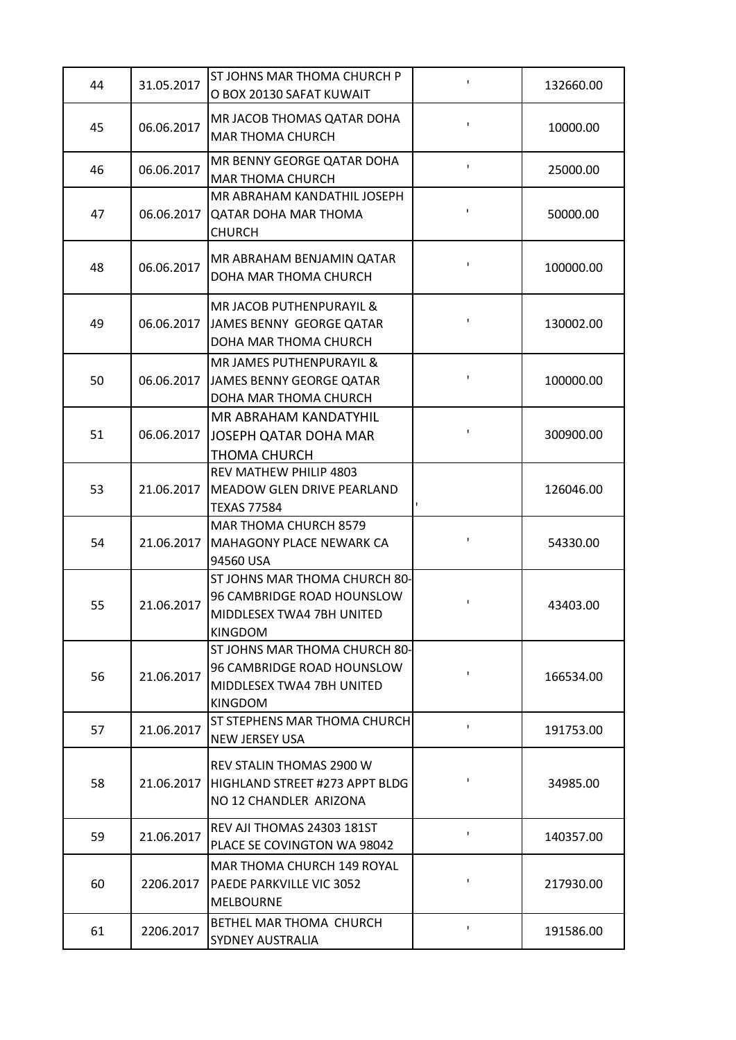| 44 | 31.05.2017 | <b>ST JOHNS MAR THOMA CHURCH P</b><br>O BOX 20130 SAFAT KUWAIT                                             | $\mathbf I$    | 132660.00 |
|----|------------|------------------------------------------------------------------------------------------------------------|----------------|-----------|
| 45 | 06.06.2017 | MR JACOB THOMAS QATAR DOHA<br><b>MAR THOMA CHURCH</b>                                                      | I.             | 10000.00  |
| 46 | 06.06.2017 | MR BENNY GEORGE QATAR DOHA<br><b>MAR THOMA CHURCH</b>                                                      | I.             | 25000.00  |
| 47 | 06.06.2017 | MR ABRAHAM KANDATHIL JOSEPH<br><b>QATAR DOHA MAR THOMA</b><br><b>CHURCH</b>                                | $\mathbf{I}$   | 50000.00  |
| 48 | 06.06.2017 | MR ABRAHAM BENJAMIN QATAR<br>DOHA MAR THOMA CHURCH                                                         | I.             | 100000.00 |
| 49 | 06.06.2017 | <b>MR JACOB PUTHENPURAYIL &amp;</b><br>JAMES BENNY GEORGE QATAR<br>DOHA MAR THOMA CHURCH                   | 1              | 130002.00 |
| 50 | 06.06.2017 | <b>MR JAMES PUTHENPURAYIL &amp;</b><br>JAMES BENNY GEORGE QATAR<br>DOHA MAR THOMA CHURCH                   | $\blacksquare$ | 100000.00 |
| 51 | 06.06.2017 | MR ABRAHAM KANDATYHIL<br>JOSEPH QATAR DOHA MAR<br>THOMA CHURCH                                             | $\blacksquare$ | 300900.00 |
| 53 | 21.06.2017 | REV MATHEW PHILIP 4803<br><b>MEADOW GLEN DRIVE PEARLAND</b><br><b>TEXAS 77584</b>                          |                | 126046.00 |
| 54 | 21.06.2017 | MAR THOMA CHURCH 8579<br><b>MAHAGONY PLACE NEWARK CA</b><br>94560 USA                                      | $\blacksquare$ | 54330.00  |
| 55 | 21.06.2017 | ST JOHNS MAR THOMA CHURCH 80-<br>96 CAMBRIDGE ROAD HOUNSLOW<br>MIDDLESEX TWA4 7BH UNITED<br><b>KINGDOM</b> |                | 43403.00  |
| 56 | 21.06.2017 | ST JOHNS MAR THOMA CHURCH 80-<br>96 CAMBRIDGE ROAD HOUNSLOW<br>MIDDLESEX TWA4 7BH UNITED<br><b>KINGDOM</b> | I.             | 166534.00 |
| 57 | 21.06.2017 | ST STEPHENS MAR THOMA CHURCH<br><b>NEW JERSEY USA</b>                                                      | $\mathbf{I}$   | 191753.00 |
| 58 | 21.06.2017 | <b>REV STALIN THOMAS 2900 W</b><br>HIGHLAND STREET #273 APPT BLDG<br>NO 12 CHANDLER ARIZONA                | $\mathbf I$    | 34985.00  |
| 59 | 21.06.2017 | REV AJI THOMAS 24303 181ST<br>PLACE SE COVINGTON WA 98042                                                  | ı.             | 140357.00 |
| 60 | 2206.2017  | MAR THOMA CHURCH 149 ROYAL<br><b>PAEDE PARKVILLE VIC 3052</b><br><b>MELBOURNE</b>                          | $\mathbf I$    | 217930.00 |
| 61 | 2206.2017  | BETHEL MAR THOMA CHURCH<br><b>SYDNEY AUSTRALIA</b>                                                         | $\mathbf I$    | 191586.00 |